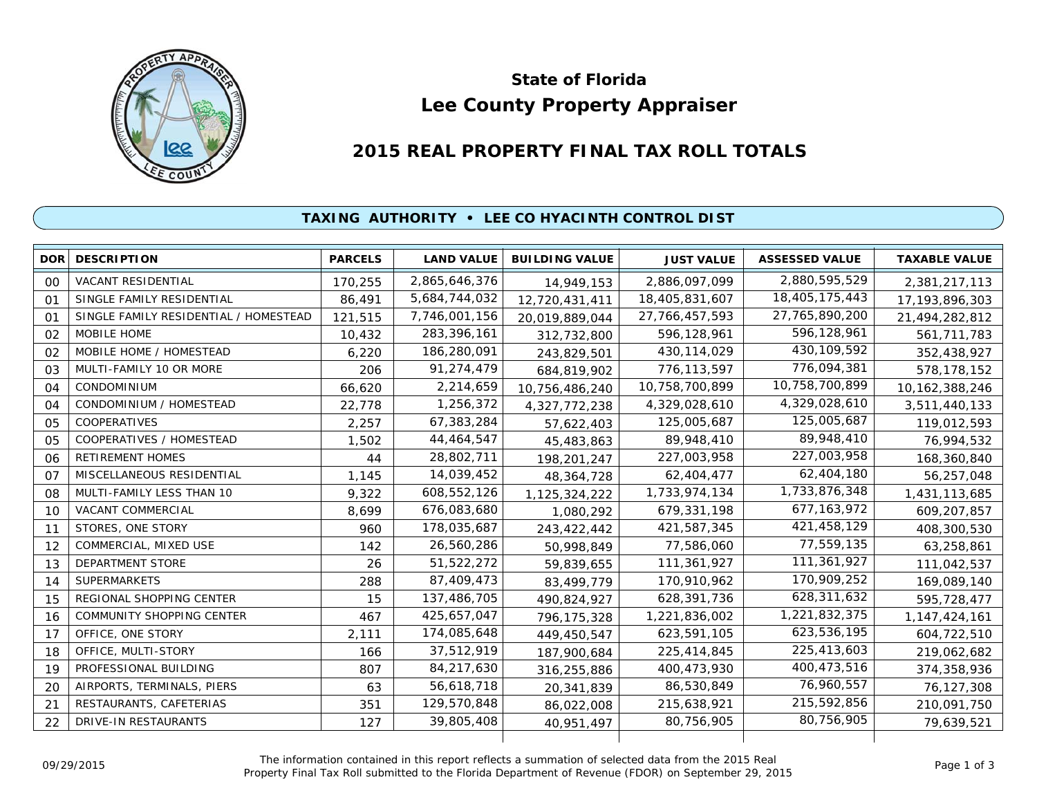

# **Lee County Property Appraiser State of Florida**

# **2015 REAL PROPERTY FINAL TAX ROLL TOTALS**

## **TAXING AUTHORITY • LEE CO HYACINTH CONTROL DIST**

| <b>DOR</b>     | <b>DESCRIPTION</b>                    | <b>PARCELS</b> | <b>LAND VALUE</b> | <b>BUILDING VALUE</b> | <b>JUST VALUE</b> | <b>ASSESSED VALUE</b> | <b>TAXABLE VALUE</b> |
|----------------|---------------------------------------|----------------|-------------------|-----------------------|-------------------|-----------------------|----------------------|
| 00             | <b>VACANT RESIDENTIAL</b>             | 170,255        | 2,865,646,376     | 14,949,153            | 2,886,097,099     | 2,880,595,529         | 2,381,217,113        |
| 01             | SINGLE FAMILY RESIDENTIAL             | 86,491         | 5,684,744,032     | 12,720,431,411        | 18,405,831,607    | 18,405,175,443        | 17, 193, 896, 303    |
| O <sub>1</sub> | SINGLE FAMILY RESIDENTIAL / HOMESTEAD | 121,515        | 7,746,001,156     | 20,019,889,044        | 27,766,457,593    | 27,765,890,200        | 21,494,282,812       |
| 02             | MOBILE HOME                           | 10,432         | 283,396,161       | 312,732,800           | 596,128,961       | 596,128,961           | 561,711,783          |
| 02             | MOBILE HOME / HOMESTEAD               | 6,220          | 186,280,091       | 243,829,501           | 430, 114, 029     | 430, 109, 592         | 352,438,927          |
| 03             | MULTI-FAMILY 10 OR MORE               | 206            | 91,274,479        | 684,819,902           | 776,113,597       | 776,094,381           | 578,178,152          |
| 04             | CONDOMINIUM                           | 66,620         | 2,214,659         | 10,756,486,240        | 10,758,700,899    | 10,758,700,899        | 10, 162, 388, 246    |
| 04             | CONDOMINIUM / HOMESTEAD               | 22,778         | 1,256,372         | 4,327,772,238         | 4,329,028,610     | 4,329,028,610         | 3,511,440,133        |
| 05             | <b>COOPERATIVES</b>                   | 2,257          | 67,383,284        | 57,622,403            | 125,005,687       | 125,005,687           | 119,012,593          |
| 05             | COOPERATIVES / HOMESTEAD              | 1,502          | 44,464,547        | 45,483,863            | 89,948,410        | 89,948,410            | 76,994,532           |
| 06             | RETIREMENT HOMES                      | 44             | 28,802,711        | 198,201,247           | 227,003,958       | 227,003,958           | 168,360,840          |
| 07             | MISCELLANEOUS RESIDENTIAL             | 1,145          | 14,039,452        | 48,364,728            | 62,404,477        | 62,404,180            | 56,257,048           |
| 08             | MULTI-FAMILY LESS THAN 10             | 9,322          | 608,552,126       | 1,125,324,222         | 1,733,974,134     | 1,733,876,348         | 1,431,113,685        |
| 10             | VACANT COMMERCIAL                     | 8,699          | 676,083,680       | 1.080.292             | 679,331,198       | 677, 163, 972         | 609,207,857          |
| 11             | STORES, ONE STORY                     | 960            | 178,035,687       | 243,422,442           | 421,587,345       | 421,458,129           | 408,300,530          |
| 12             | COMMERCIAL, MIXED USE                 | 142            | 26,560,286        | 50,998,849            | 77,586,060        | 77,559,135            | 63,258,861           |
| 13             | <b>DEPARTMENT STORE</b>               | 26             | 51,522,272        | 59,839,655            | 111,361,927       | 111,361,927           | 111,042,537          |
| 14             | <b>SUPERMARKETS</b>                   | 288            | 87,409,473        | 83,499,779            | 170,910,962       | 170,909,252           | 169,089,140          |
| 15             | REGIONAL SHOPPING CENTER              | 15             | 137,486,705       | 490,824,927           | 628,391,736       | 628,311,632           | 595,728,477          |
| 16             | COMMUNITY SHOPPING CENTER             | 467            | 425,657,047       | 796, 175, 328         | 1,221,836,002     | 1,221,832,375         | 1, 147, 424, 161     |
| 17             | OFFICE, ONE STORY                     | 2,111          | 174,085,648       | 449,450,547           | 623,591,105       | 623,536,195           | 604,722,510          |
| 18             | OFFICE, MULTI-STORY                   | 166            | 37,512,919        | 187,900,684           | 225,414,845       | 225,413,603           | 219,062,682          |
| 19             | PROFESSIONAL BUILDING                 | 807            | 84,217,630        | 316,255,886           | 400,473,930       | 400,473,516           | 374,358,936          |
| 20             | AIRPORTS, TERMINALS, PIERS            | 63             | 56,618,718        | 20,341,839            | 86,530,849        | 76,960,557            | 76,127,308           |
| 21             | RESTAURANTS, CAFETERIAS               | 351            | 129,570,848       | 86,022,008            | 215,638,921       | 215,592,856           | 210,091,750          |
| 22             | DRIVE-IN RESTAURANTS                  | 127            | 39,805,408        | 40,951,497            | 80,756,905        | 80,756,905            | 79,639,521           |
|                |                                       |                |                   |                       |                   |                       |                      |

The information contained in this report reflects a summation of selected data from the 2015 Real Ine information contained in this report reflects a summation of selected data from the 2015 Real<br>Property Final Tax Roll submitted to the Florida Department of Revenue (FDOR) on September 29, 2015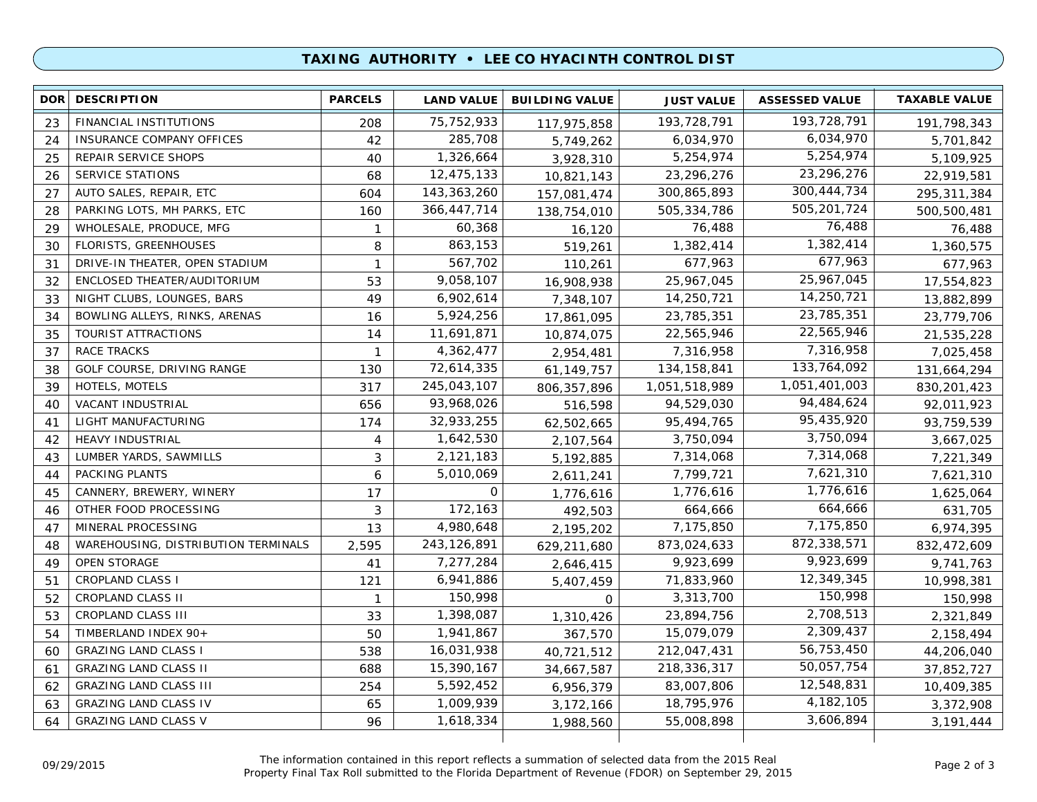### **TAXING AUTHORITY • LEE CO HYACINTH CONTROL DIST**

| 193,728,791<br>75, 752, 933<br>FINANCIAL INSTITUTIONS<br>193,728,791<br>23<br>208<br>191,798,343<br>117,975,858<br>6,034,970<br>285,708<br>42<br>6,034,970<br><b>INSURANCE COMPANY OFFICES</b><br>24<br>5,701,842<br>5,749,262<br>5,254,974<br>1,326,664<br>5,254,974<br>25<br>REPAIR SERVICE SHOPS<br>40<br>3,928,310<br>5,109,925<br>23,296,276<br>SERVICE STATIONS<br>12,475,133<br>23,296,276<br>26<br>68<br>10,821,143<br>22,919,581<br>300,444,734<br>AUTO SALES, REPAIR, ETC<br>143,363,260<br>300,865,893<br>27<br>604<br>295,311,384<br>157,081,474<br>505,201,724<br>PARKING LOTS, MH PARKS, ETC<br>366,447,714<br>505,334,786<br>28<br>160<br>500,500,481<br>138,754,010<br>76,488<br>WHOLESALE, PRODUCE, MFG<br>60,368<br>76,488<br>29<br>76,488<br>$\mathbf{1}$<br>16,120<br>1,382,414<br>863,153<br>FLORISTS, GREENHOUSES<br>1,382,414<br>8<br>1,360,575<br>30<br>519,261<br>677,963<br>567,702<br>DRIVE-IN THEATER, OPEN STADIUM<br>677,963<br>$\mathbf{1}$<br>677,963<br>31<br>110,261<br>25,967,045<br>9,058,107<br>ENCLOSED THEATER/AUDITORIUM<br>25,967,045<br>32<br>53<br>17,554,823<br>16,908,938<br>14,250,721<br>6,902,614<br>14,250,721<br>33<br>NIGHT CLUBS, LOUNGES, BARS<br>49<br>13,882,899<br>7,348,107<br>23,785,351<br>5,924,256<br>BOWLING ALLEYS, RINKS, ARENAS<br>23,785,351<br>34<br>16<br>17,861,095<br>23,779,706<br>22,565,946<br>11,691,871<br>TOURIST ATTRACTIONS<br>22,565,946<br>35<br>14<br>10,874,075<br>21,535,228<br>7,316,958<br>4,362,477<br>RACE TRACKS<br>7,316,958<br>37<br>7,025,458<br>$\mathbf{1}$<br>2,954,481<br>133,764,092<br>72,614,335<br>GOLF COURSE, DRIVING RANGE<br>134, 158, 841<br>38<br>130<br>131,664,294<br>61,149,757<br>1,051,401,003<br>245,043,107<br>HOTELS, MOTELS<br>317<br>1,051,518,989<br>39<br>830, 201, 423<br>806, 357, 896<br>94,484,624<br>93,968,026<br>VACANT INDUSTRIAL<br>656<br>94,529,030<br>40<br>92,011,923<br>516,598<br>95,435,920<br>32,933,255<br>LIGHT MANUFACTURING<br>95,494,765<br>41<br>174<br>93,759,539<br>62,502,665<br>3,750,094<br>1,642,530<br><b>HEAVY INDUSTRIAL</b><br>3,750,094<br>42<br>4<br>3,667,025<br>2,107,564<br>7,314,068<br>2,121,183<br>LUMBER YARDS, SAWMILLS<br>7,314,068<br>43<br>3<br>5,192,885<br>7,221,349<br>7,621,310<br>PACKING PLANTS<br>5,010,069<br>7,799,721<br>6<br>44<br>7,621,310<br>2,611,241<br>1,776,616<br>0<br>CANNERY, BREWERY, WINERY<br>1,776,616<br>1,625,064<br>45<br>17<br>1,776,616<br>664,666<br>172,163<br>OTHER FOOD PROCESSING<br>3<br>664,666<br>631,705<br>46<br>492,503<br>7,175,850<br>MINERAL PROCESSING<br>4,980,648<br>47<br>13<br>7,175,850<br>6,974,395<br>2,195,202<br>872,338,571<br>243, 126, 891<br>873,024,633<br>WAREHOUSING, DISTRIBUTION TERMINALS<br>2,595<br>832,472,609<br>48<br>629,211,680<br>9,923,699<br>OPEN STORAGE<br>7,277,284<br>9,923,699<br>9,741,763<br>49<br>41<br>2,646,415<br>12,349,345<br><b>CROPLAND CLASS I</b><br>6,941,886<br>71,833,960<br>51<br>10,998,381<br>121<br>5,407,459<br>150,998<br>CROPLAND CLASS II<br>150,998<br>3,313,700<br>52<br>150,998<br>$\mathbf{1}$<br>$\mathbf 0$<br>2,708,513<br>1,398,087<br>53<br>CROPLAND CLASS III<br>23,894,756<br>2,321,849<br>33<br>1,310,426<br>2,309,437<br>TIMBERLAND INDEX 90+<br>1,941,867<br>15,079,079<br>54<br>50<br>367,570<br>2,158,494<br>56,753,450<br>16,031,938<br><b>GRAZING LAND CLASS I</b><br>212,047,431<br>60<br>538<br>44,206,040<br>40,721,512<br>50,057,754<br><b>GRAZING LAND CLASS II</b><br>15,390,167<br>218,336,317<br>688<br>61<br>37,852,727<br>34,667,587<br>12,548,831<br>5,592,452<br><b>GRAZING LAND CLASS III</b><br>83,007,806<br>62<br>254<br>6,956,379<br>10,409,385<br>4, 182, 105<br>1,009,939<br>18,795,976<br><b>GRAZING LAND CLASS IV</b><br>63<br>65<br>3,372,908<br>3,172,166<br>3,606,894<br><b>GRAZING LAND CLASS V</b><br>1,618,334<br>55,008,898<br>64<br>96<br>3, 191, 444<br>1,988,560 | <b>DOR</b> | <b>DESCRIPTION</b> | <b>PARCELS</b> | <b>LAND VALUE</b> | <b>BUILDING VALUE</b> | <b>JUST VALUE</b> | <b>ASSESSED VALUE</b> | <b>TAXABLE VALUE</b> |
|--------------------------------------------------------------------------------------------------------------------------------------------------------------------------------------------------------------------------------------------------------------------------------------------------------------------------------------------------------------------------------------------------------------------------------------------------------------------------------------------------------------------------------------------------------------------------------------------------------------------------------------------------------------------------------------------------------------------------------------------------------------------------------------------------------------------------------------------------------------------------------------------------------------------------------------------------------------------------------------------------------------------------------------------------------------------------------------------------------------------------------------------------------------------------------------------------------------------------------------------------------------------------------------------------------------------------------------------------------------------------------------------------------------------------------------------------------------------------------------------------------------------------------------------------------------------------------------------------------------------------------------------------------------------------------------------------------------------------------------------------------------------------------------------------------------------------------------------------------------------------------------------------------------------------------------------------------------------------------------------------------------------------------------------------------------------------------------------------------------------------------------------------------------------------------------------------------------------------------------------------------------------------------------------------------------------------------------------------------------------------------------------------------------------------------------------------------------------------------------------------------------------------------------------------------------------------------------------------------------------------------------------------------------------------------------------------------------------------------------------------------------------------------------------------------------------------------------------------------------------------------------------------------------------------------------------------------------------------------------------------------------------------------------------------------------------------------------------------------------------------------------------------------------------------------------------------------------------------------------------------------------------------------------------------------------------------------------------------------------------------------------------------------------------------------------------------------------------------------------------------------------------------------------------------------------------------------------------------------------------------------------------------------------------------------------------------------------------------------------------------------------------------------------------------------------------------------------------------------------------------------------------|------------|--------------------|----------------|-------------------|-----------------------|-------------------|-----------------------|----------------------|
|                                                                                                                                                                                                                                                                                                                                                                                                                                                                                                                                                                                                                                                                                                                                                                                                                                                                                                                                                                                                                                                                                                                                                                                                                                                                                                                                                                                                                                                                                                                                                                                                                                                                                                                                                                                                                                                                                                                                                                                                                                                                                                                                                                                                                                                                                                                                                                                                                                                                                                                                                                                                                                                                                                                                                                                                                                                                                                                                                                                                                                                                                                                                                                                                                                                                                                                                                                                                                                                                                                                                                                                                                                                                                                                                                                                                                                                                                            |            |                    |                |                   |                       |                   |                       |                      |
|                                                                                                                                                                                                                                                                                                                                                                                                                                                                                                                                                                                                                                                                                                                                                                                                                                                                                                                                                                                                                                                                                                                                                                                                                                                                                                                                                                                                                                                                                                                                                                                                                                                                                                                                                                                                                                                                                                                                                                                                                                                                                                                                                                                                                                                                                                                                                                                                                                                                                                                                                                                                                                                                                                                                                                                                                                                                                                                                                                                                                                                                                                                                                                                                                                                                                                                                                                                                                                                                                                                                                                                                                                                                                                                                                                                                                                                                                            |            |                    |                |                   |                       |                   |                       |                      |
|                                                                                                                                                                                                                                                                                                                                                                                                                                                                                                                                                                                                                                                                                                                                                                                                                                                                                                                                                                                                                                                                                                                                                                                                                                                                                                                                                                                                                                                                                                                                                                                                                                                                                                                                                                                                                                                                                                                                                                                                                                                                                                                                                                                                                                                                                                                                                                                                                                                                                                                                                                                                                                                                                                                                                                                                                                                                                                                                                                                                                                                                                                                                                                                                                                                                                                                                                                                                                                                                                                                                                                                                                                                                                                                                                                                                                                                                                            |            |                    |                |                   |                       |                   |                       |                      |
|                                                                                                                                                                                                                                                                                                                                                                                                                                                                                                                                                                                                                                                                                                                                                                                                                                                                                                                                                                                                                                                                                                                                                                                                                                                                                                                                                                                                                                                                                                                                                                                                                                                                                                                                                                                                                                                                                                                                                                                                                                                                                                                                                                                                                                                                                                                                                                                                                                                                                                                                                                                                                                                                                                                                                                                                                                                                                                                                                                                                                                                                                                                                                                                                                                                                                                                                                                                                                                                                                                                                                                                                                                                                                                                                                                                                                                                                                            |            |                    |                |                   |                       |                   |                       |                      |
|                                                                                                                                                                                                                                                                                                                                                                                                                                                                                                                                                                                                                                                                                                                                                                                                                                                                                                                                                                                                                                                                                                                                                                                                                                                                                                                                                                                                                                                                                                                                                                                                                                                                                                                                                                                                                                                                                                                                                                                                                                                                                                                                                                                                                                                                                                                                                                                                                                                                                                                                                                                                                                                                                                                                                                                                                                                                                                                                                                                                                                                                                                                                                                                                                                                                                                                                                                                                                                                                                                                                                                                                                                                                                                                                                                                                                                                                                            |            |                    |                |                   |                       |                   |                       |                      |
|                                                                                                                                                                                                                                                                                                                                                                                                                                                                                                                                                                                                                                                                                                                                                                                                                                                                                                                                                                                                                                                                                                                                                                                                                                                                                                                                                                                                                                                                                                                                                                                                                                                                                                                                                                                                                                                                                                                                                                                                                                                                                                                                                                                                                                                                                                                                                                                                                                                                                                                                                                                                                                                                                                                                                                                                                                                                                                                                                                                                                                                                                                                                                                                                                                                                                                                                                                                                                                                                                                                                                                                                                                                                                                                                                                                                                                                                                            |            |                    |                |                   |                       |                   |                       |                      |
|                                                                                                                                                                                                                                                                                                                                                                                                                                                                                                                                                                                                                                                                                                                                                                                                                                                                                                                                                                                                                                                                                                                                                                                                                                                                                                                                                                                                                                                                                                                                                                                                                                                                                                                                                                                                                                                                                                                                                                                                                                                                                                                                                                                                                                                                                                                                                                                                                                                                                                                                                                                                                                                                                                                                                                                                                                                                                                                                                                                                                                                                                                                                                                                                                                                                                                                                                                                                                                                                                                                                                                                                                                                                                                                                                                                                                                                                                            |            |                    |                |                   |                       |                   |                       |                      |
|                                                                                                                                                                                                                                                                                                                                                                                                                                                                                                                                                                                                                                                                                                                                                                                                                                                                                                                                                                                                                                                                                                                                                                                                                                                                                                                                                                                                                                                                                                                                                                                                                                                                                                                                                                                                                                                                                                                                                                                                                                                                                                                                                                                                                                                                                                                                                                                                                                                                                                                                                                                                                                                                                                                                                                                                                                                                                                                                                                                                                                                                                                                                                                                                                                                                                                                                                                                                                                                                                                                                                                                                                                                                                                                                                                                                                                                                                            |            |                    |                |                   |                       |                   |                       |                      |
|                                                                                                                                                                                                                                                                                                                                                                                                                                                                                                                                                                                                                                                                                                                                                                                                                                                                                                                                                                                                                                                                                                                                                                                                                                                                                                                                                                                                                                                                                                                                                                                                                                                                                                                                                                                                                                                                                                                                                                                                                                                                                                                                                                                                                                                                                                                                                                                                                                                                                                                                                                                                                                                                                                                                                                                                                                                                                                                                                                                                                                                                                                                                                                                                                                                                                                                                                                                                                                                                                                                                                                                                                                                                                                                                                                                                                                                                                            |            |                    |                |                   |                       |                   |                       |                      |
|                                                                                                                                                                                                                                                                                                                                                                                                                                                                                                                                                                                                                                                                                                                                                                                                                                                                                                                                                                                                                                                                                                                                                                                                                                                                                                                                                                                                                                                                                                                                                                                                                                                                                                                                                                                                                                                                                                                                                                                                                                                                                                                                                                                                                                                                                                                                                                                                                                                                                                                                                                                                                                                                                                                                                                                                                                                                                                                                                                                                                                                                                                                                                                                                                                                                                                                                                                                                                                                                                                                                                                                                                                                                                                                                                                                                                                                                                            |            |                    |                |                   |                       |                   |                       |                      |
|                                                                                                                                                                                                                                                                                                                                                                                                                                                                                                                                                                                                                                                                                                                                                                                                                                                                                                                                                                                                                                                                                                                                                                                                                                                                                                                                                                                                                                                                                                                                                                                                                                                                                                                                                                                                                                                                                                                                                                                                                                                                                                                                                                                                                                                                                                                                                                                                                                                                                                                                                                                                                                                                                                                                                                                                                                                                                                                                                                                                                                                                                                                                                                                                                                                                                                                                                                                                                                                                                                                                                                                                                                                                                                                                                                                                                                                                                            |            |                    |                |                   |                       |                   |                       |                      |
|                                                                                                                                                                                                                                                                                                                                                                                                                                                                                                                                                                                                                                                                                                                                                                                                                                                                                                                                                                                                                                                                                                                                                                                                                                                                                                                                                                                                                                                                                                                                                                                                                                                                                                                                                                                                                                                                                                                                                                                                                                                                                                                                                                                                                                                                                                                                                                                                                                                                                                                                                                                                                                                                                                                                                                                                                                                                                                                                                                                                                                                                                                                                                                                                                                                                                                                                                                                                                                                                                                                                                                                                                                                                                                                                                                                                                                                                                            |            |                    |                |                   |                       |                   |                       |                      |
|                                                                                                                                                                                                                                                                                                                                                                                                                                                                                                                                                                                                                                                                                                                                                                                                                                                                                                                                                                                                                                                                                                                                                                                                                                                                                                                                                                                                                                                                                                                                                                                                                                                                                                                                                                                                                                                                                                                                                                                                                                                                                                                                                                                                                                                                                                                                                                                                                                                                                                                                                                                                                                                                                                                                                                                                                                                                                                                                                                                                                                                                                                                                                                                                                                                                                                                                                                                                                                                                                                                                                                                                                                                                                                                                                                                                                                                                                            |            |                    |                |                   |                       |                   |                       |                      |
|                                                                                                                                                                                                                                                                                                                                                                                                                                                                                                                                                                                                                                                                                                                                                                                                                                                                                                                                                                                                                                                                                                                                                                                                                                                                                                                                                                                                                                                                                                                                                                                                                                                                                                                                                                                                                                                                                                                                                                                                                                                                                                                                                                                                                                                                                                                                                                                                                                                                                                                                                                                                                                                                                                                                                                                                                                                                                                                                                                                                                                                                                                                                                                                                                                                                                                                                                                                                                                                                                                                                                                                                                                                                                                                                                                                                                                                                                            |            |                    |                |                   |                       |                   |                       |                      |
|                                                                                                                                                                                                                                                                                                                                                                                                                                                                                                                                                                                                                                                                                                                                                                                                                                                                                                                                                                                                                                                                                                                                                                                                                                                                                                                                                                                                                                                                                                                                                                                                                                                                                                                                                                                                                                                                                                                                                                                                                                                                                                                                                                                                                                                                                                                                                                                                                                                                                                                                                                                                                                                                                                                                                                                                                                                                                                                                                                                                                                                                                                                                                                                                                                                                                                                                                                                                                                                                                                                                                                                                                                                                                                                                                                                                                                                                                            |            |                    |                |                   |                       |                   |                       |                      |
|                                                                                                                                                                                                                                                                                                                                                                                                                                                                                                                                                                                                                                                                                                                                                                                                                                                                                                                                                                                                                                                                                                                                                                                                                                                                                                                                                                                                                                                                                                                                                                                                                                                                                                                                                                                                                                                                                                                                                                                                                                                                                                                                                                                                                                                                                                                                                                                                                                                                                                                                                                                                                                                                                                                                                                                                                                                                                                                                                                                                                                                                                                                                                                                                                                                                                                                                                                                                                                                                                                                                                                                                                                                                                                                                                                                                                                                                                            |            |                    |                |                   |                       |                   |                       |                      |
|                                                                                                                                                                                                                                                                                                                                                                                                                                                                                                                                                                                                                                                                                                                                                                                                                                                                                                                                                                                                                                                                                                                                                                                                                                                                                                                                                                                                                                                                                                                                                                                                                                                                                                                                                                                                                                                                                                                                                                                                                                                                                                                                                                                                                                                                                                                                                                                                                                                                                                                                                                                                                                                                                                                                                                                                                                                                                                                                                                                                                                                                                                                                                                                                                                                                                                                                                                                                                                                                                                                                                                                                                                                                                                                                                                                                                                                                                            |            |                    |                |                   |                       |                   |                       |                      |
|                                                                                                                                                                                                                                                                                                                                                                                                                                                                                                                                                                                                                                                                                                                                                                                                                                                                                                                                                                                                                                                                                                                                                                                                                                                                                                                                                                                                                                                                                                                                                                                                                                                                                                                                                                                                                                                                                                                                                                                                                                                                                                                                                                                                                                                                                                                                                                                                                                                                                                                                                                                                                                                                                                                                                                                                                                                                                                                                                                                                                                                                                                                                                                                                                                                                                                                                                                                                                                                                                                                                                                                                                                                                                                                                                                                                                                                                                            |            |                    |                |                   |                       |                   |                       |                      |
|                                                                                                                                                                                                                                                                                                                                                                                                                                                                                                                                                                                                                                                                                                                                                                                                                                                                                                                                                                                                                                                                                                                                                                                                                                                                                                                                                                                                                                                                                                                                                                                                                                                                                                                                                                                                                                                                                                                                                                                                                                                                                                                                                                                                                                                                                                                                                                                                                                                                                                                                                                                                                                                                                                                                                                                                                                                                                                                                                                                                                                                                                                                                                                                                                                                                                                                                                                                                                                                                                                                                                                                                                                                                                                                                                                                                                                                                                            |            |                    |                |                   |                       |                   |                       |                      |
|                                                                                                                                                                                                                                                                                                                                                                                                                                                                                                                                                                                                                                                                                                                                                                                                                                                                                                                                                                                                                                                                                                                                                                                                                                                                                                                                                                                                                                                                                                                                                                                                                                                                                                                                                                                                                                                                                                                                                                                                                                                                                                                                                                                                                                                                                                                                                                                                                                                                                                                                                                                                                                                                                                                                                                                                                                                                                                                                                                                                                                                                                                                                                                                                                                                                                                                                                                                                                                                                                                                                                                                                                                                                                                                                                                                                                                                                                            |            |                    |                |                   |                       |                   |                       |                      |
|                                                                                                                                                                                                                                                                                                                                                                                                                                                                                                                                                                                                                                                                                                                                                                                                                                                                                                                                                                                                                                                                                                                                                                                                                                                                                                                                                                                                                                                                                                                                                                                                                                                                                                                                                                                                                                                                                                                                                                                                                                                                                                                                                                                                                                                                                                                                                                                                                                                                                                                                                                                                                                                                                                                                                                                                                                                                                                                                                                                                                                                                                                                                                                                                                                                                                                                                                                                                                                                                                                                                                                                                                                                                                                                                                                                                                                                                                            |            |                    |                |                   |                       |                   |                       |                      |
|                                                                                                                                                                                                                                                                                                                                                                                                                                                                                                                                                                                                                                                                                                                                                                                                                                                                                                                                                                                                                                                                                                                                                                                                                                                                                                                                                                                                                                                                                                                                                                                                                                                                                                                                                                                                                                                                                                                                                                                                                                                                                                                                                                                                                                                                                                                                                                                                                                                                                                                                                                                                                                                                                                                                                                                                                                                                                                                                                                                                                                                                                                                                                                                                                                                                                                                                                                                                                                                                                                                                                                                                                                                                                                                                                                                                                                                                                            |            |                    |                |                   |                       |                   |                       |                      |
|                                                                                                                                                                                                                                                                                                                                                                                                                                                                                                                                                                                                                                                                                                                                                                                                                                                                                                                                                                                                                                                                                                                                                                                                                                                                                                                                                                                                                                                                                                                                                                                                                                                                                                                                                                                                                                                                                                                                                                                                                                                                                                                                                                                                                                                                                                                                                                                                                                                                                                                                                                                                                                                                                                                                                                                                                                                                                                                                                                                                                                                                                                                                                                                                                                                                                                                                                                                                                                                                                                                                                                                                                                                                                                                                                                                                                                                                                            |            |                    |                |                   |                       |                   |                       |                      |
|                                                                                                                                                                                                                                                                                                                                                                                                                                                                                                                                                                                                                                                                                                                                                                                                                                                                                                                                                                                                                                                                                                                                                                                                                                                                                                                                                                                                                                                                                                                                                                                                                                                                                                                                                                                                                                                                                                                                                                                                                                                                                                                                                                                                                                                                                                                                                                                                                                                                                                                                                                                                                                                                                                                                                                                                                                                                                                                                                                                                                                                                                                                                                                                                                                                                                                                                                                                                                                                                                                                                                                                                                                                                                                                                                                                                                                                                                            |            |                    |                |                   |                       |                   |                       |                      |
|                                                                                                                                                                                                                                                                                                                                                                                                                                                                                                                                                                                                                                                                                                                                                                                                                                                                                                                                                                                                                                                                                                                                                                                                                                                                                                                                                                                                                                                                                                                                                                                                                                                                                                                                                                                                                                                                                                                                                                                                                                                                                                                                                                                                                                                                                                                                                                                                                                                                                                                                                                                                                                                                                                                                                                                                                                                                                                                                                                                                                                                                                                                                                                                                                                                                                                                                                                                                                                                                                                                                                                                                                                                                                                                                                                                                                                                                                            |            |                    |                |                   |                       |                   |                       |                      |
|                                                                                                                                                                                                                                                                                                                                                                                                                                                                                                                                                                                                                                                                                                                                                                                                                                                                                                                                                                                                                                                                                                                                                                                                                                                                                                                                                                                                                                                                                                                                                                                                                                                                                                                                                                                                                                                                                                                                                                                                                                                                                                                                                                                                                                                                                                                                                                                                                                                                                                                                                                                                                                                                                                                                                                                                                                                                                                                                                                                                                                                                                                                                                                                                                                                                                                                                                                                                                                                                                                                                                                                                                                                                                                                                                                                                                                                                                            |            |                    |                |                   |                       |                   |                       |                      |
|                                                                                                                                                                                                                                                                                                                                                                                                                                                                                                                                                                                                                                                                                                                                                                                                                                                                                                                                                                                                                                                                                                                                                                                                                                                                                                                                                                                                                                                                                                                                                                                                                                                                                                                                                                                                                                                                                                                                                                                                                                                                                                                                                                                                                                                                                                                                                                                                                                                                                                                                                                                                                                                                                                                                                                                                                                                                                                                                                                                                                                                                                                                                                                                                                                                                                                                                                                                                                                                                                                                                                                                                                                                                                                                                                                                                                                                                                            |            |                    |                |                   |                       |                   |                       |                      |
|                                                                                                                                                                                                                                                                                                                                                                                                                                                                                                                                                                                                                                                                                                                                                                                                                                                                                                                                                                                                                                                                                                                                                                                                                                                                                                                                                                                                                                                                                                                                                                                                                                                                                                                                                                                                                                                                                                                                                                                                                                                                                                                                                                                                                                                                                                                                                                                                                                                                                                                                                                                                                                                                                                                                                                                                                                                                                                                                                                                                                                                                                                                                                                                                                                                                                                                                                                                                                                                                                                                                                                                                                                                                                                                                                                                                                                                                                            |            |                    |                |                   |                       |                   |                       |                      |
|                                                                                                                                                                                                                                                                                                                                                                                                                                                                                                                                                                                                                                                                                                                                                                                                                                                                                                                                                                                                                                                                                                                                                                                                                                                                                                                                                                                                                                                                                                                                                                                                                                                                                                                                                                                                                                                                                                                                                                                                                                                                                                                                                                                                                                                                                                                                                                                                                                                                                                                                                                                                                                                                                                                                                                                                                                                                                                                                                                                                                                                                                                                                                                                                                                                                                                                                                                                                                                                                                                                                                                                                                                                                                                                                                                                                                                                                                            |            |                    |                |                   |                       |                   |                       |                      |
|                                                                                                                                                                                                                                                                                                                                                                                                                                                                                                                                                                                                                                                                                                                                                                                                                                                                                                                                                                                                                                                                                                                                                                                                                                                                                                                                                                                                                                                                                                                                                                                                                                                                                                                                                                                                                                                                                                                                                                                                                                                                                                                                                                                                                                                                                                                                                                                                                                                                                                                                                                                                                                                                                                                                                                                                                                                                                                                                                                                                                                                                                                                                                                                                                                                                                                                                                                                                                                                                                                                                                                                                                                                                                                                                                                                                                                                                                            |            |                    |                |                   |                       |                   |                       |                      |
|                                                                                                                                                                                                                                                                                                                                                                                                                                                                                                                                                                                                                                                                                                                                                                                                                                                                                                                                                                                                                                                                                                                                                                                                                                                                                                                                                                                                                                                                                                                                                                                                                                                                                                                                                                                                                                                                                                                                                                                                                                                                                                                                                                                                                                                                                                                                                                                                                                                                                                                                                                                                                                                                                                                                                                                                                                                                                                                                                                                                                                                                                                                                                                                                                                                                                                                                                                                                                                                                                                                                                                                                                                                                                                                                                                                                                                                                                            |            |                    |                |                   |                       |                   |                       |                      |
|                                                                                                                                                                                                                                                                                                                                                                                                                                                                                                                                                                                                                                                                                                                                                                                                                                                                                                                                                                                                                                                                                                                                                                                                                                                                                                                                                                                                                                                                                                                                                                                                                                                                                                                                                                                                                                                                                                                                                                                                                                                                                                                                                                                                                                                                                                                                                                                                                                                                                                                                                                                                                                                                                                                                                                                                                                                                                                                                                                                                                                                                                                                                                                                                                                                                                                                                                                                                                                                                                                                                                                                                                                                                                                                                                                                                                                                                                            |            |                    |                |                   |                       |                   |                       |                      |
|                                                                                                                                                                                                                                                                                                                                                                                                                                                                                                                                                                                                                                                                                                                                                                                                                                                                                                                                                                                                                                                                                                                                                                                                                                                                                                                                                                                                                                                                                                                                                                                                                                                                                                                                                                                                                                                                                                                                                                                                                                                                                                                                                                                                                                                                                                                                                                                                                                                                                                                                                                                                                                                                                                                                                                                                                                                                                                                                                                                                                                                                                                                                                                                                                                                                                                                                                                                                                                                                                                                                                                                                                                                                                                                                                                                                                                                                                            |            |                    |                |                   |                       |                   |                       |                      |
|                                                                                                                                                                                                                                                                                                                                                                                                                                                                                                                                                                                                                                                                                                                                                                                                                                                                                                                                                                                                                                                                                                                                                                                                                                                                                                                                                                                                                                                                                                                                                                                                                                                                                                                                                                                                                                                                                                                                                                                                                                                                                                                                                                                                                                                                                                                                                                                                                                                                                                                                                                                                                                                                                                                                                                                                                                                                                                                                                                                                                                                                                                                                                                                                                                                                                                                                                                                                                                                                                                                                                                                                                                                                                                                                                                                                                                                                                            |            |                    |                |                   |                       |                   |                       |                      |
|                                                                                                                                                                                                                                                                                                                                                                                                                                                                                                                                                                                                                                                                                                                                                                                                                                                                                                                                                                                                                                                                                                                                                                                                                                                                                                                                                                                                                                                                                                                                                                                                                                                                                                                                                                                                                                                                                                                                                                                                                                                                                                                                                                                                                                                                                                                                                                                                                                                                                                                                                                                                                                                                                                                                                                                                                                                                                                                                                                                                                                                                                                                                                                                                                                                                                                                                                                                                                                                                                                                                                                                                                                                                                                                                                                                                                                                                                            |            |                    |                |                   |                       |                   |                       |                      |

The information contained in this report reflects a summation of selected data from the 2015 Real Property Final Tax Roll submitted to the Florida Department of Revenue (FDOR) on September 29, 2015 09/29/2015 Page 2 of 3